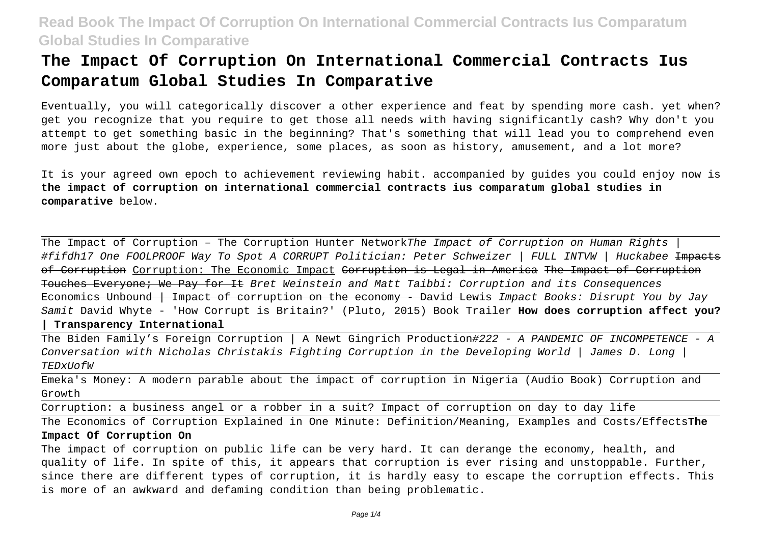# **The Impact Of Corruption On International Commercial Contracts Ius Comparatum Global Studies In Comparative**

Eventually, you will categorically discover a other experience and feat by spending more cash. yet when? get you recognize that you require to get those all needs with having significantly cash? Why don't you attempt to get something basic in the beginning? That's something that will lead you to comprehend even more just about the globe, experience, some places, as soon as history, amusement, and a lot more?

It is your agreed own epoch to achievement reviewing habit. accompanied by guides you could enjoy now is **the impact of corruption on international commercial contracts ius comparatum global studies in comparative** below.

The Impact of Corruption - The Corruption Hunter NetworkThe Impact of Corruption on Human Rights #fifdh17 One FOOLPROOF Way To Spot A CORRUPT Politician: Peter Schweizer | FULL INTVW | Huckabee Impacts of Corruption Corruption: The Economic Impact Corruption is Legal in America The Impact of Corruption Touches Everyone; We Pay for It Bret Weinstein and Matt Taibbi: Corruption and its Consequences Economics Unbound | Impact of corruption on the economy - David Lewis Impact Books: Disrupt You by Jay Samit David Whyte - 'How Corrupt is Britain?' (Pluto, 2015) Book Trailer **How does corruption affect you? | Transparency International**

The Biden Family's Foreign Corruption | A Newt Gingrich Production#222 - A PANDEMIC OF INCOMPETENCE - A Conversation with Nicholas Christakis Fighting Corruption in the Developing World | James D. Long | TEDxUofW

Emeka's Money: A modern parable about the impact of corruption in Nigeria (Audio Book) Corruption and Growth

Corruption: a business angel or a robber in a suit? Impact of corruption on day to day life

The Economics of Corruption Explained in One Minute: Definition/Meaning, Examples and Costs/Effects**The Impact Of Corruption On**

The impact of corruption on public life can be very hard. It can derange the economy, health, and quality of life. In spite of this, it appears that corruption is ever rising and unstoppable. Further, since there are different types of corruption, it is hardly easy to escape the corruption effects. This is more of an awkward and defaming condition than being problematic.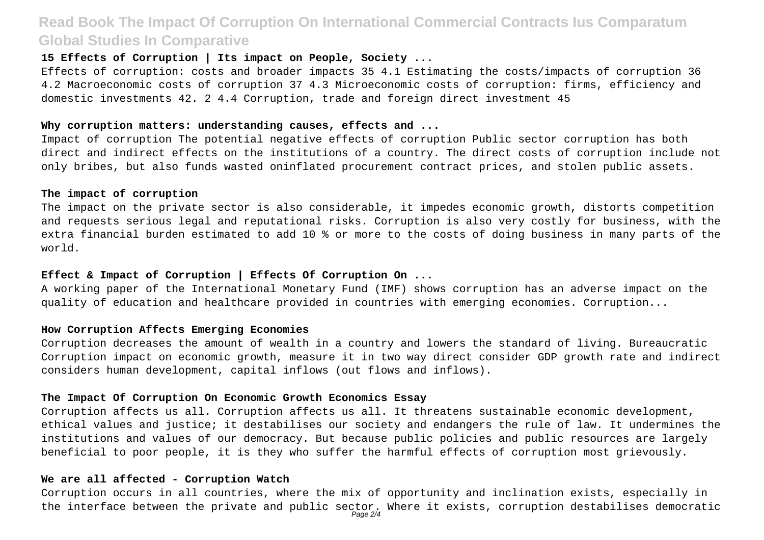## **15 Effects of Corruption | Its impact on People, Society ...**

Effects of corruption: costs and broader impacts 35 4.1 Estimating the costs/impacts of corruption 36 4.2 Macroeconomic costs of corruption 37 4.3 Microeconomic costs of corruption: firms, efficiency and domestic investments 42. 2 4.4 Corruption, trade and foreign direct investment 45

#### **Why corruption matters: understanding causes, effects and ...**

Impact of corruption The potential negative effects of corruption Public sector corruption has both direct and indirect effects on the institutions of a country. The direct costs of corruption include not only bribes, but also funds wasted oninflated procurement contract prices, and stolen public assets.

#### **The impact of corruption**

The impact on the private sector is also considerable, it impedes economic growth, distorts competition and requests serious legal and reputational risks. Corruption is also very costly for business, with the extra financial burden estimated to add 10 % or more to the costs of doing business in many parts of the world.

### **Effect & Impact of Corruption | Effects Of Corruption On ...**

A working paper of the International Monetary Fund (IMF) shows corruption has an adverse impact on the quality of education and healthcare provided in countries with emerging economies. Corruption...

#### **How Corruption Affects Emerging Economies**

Corruption decreases the amount of wealth in a country and lowers the standard of living. Bureaucratic Corruption impact on economic growth, measure it in two way direct consider GDP growth rate and indirect considers human development, capital inflows (out flows and inflows).

## **The Impact Of Corruption On Economic Growth Economics Essay**

Corruption affects us all. Corruption affects us all. It threatens sustainable economic development, ethical values and justice; it destabilises our society and endangers the rule of law. It undermines the institutions and values of our democracy. But because public policies and public resources are largely beneficial to poor people, it is they who suffer the harmful effects of corruption most grievously.

#### **We are all affected - Corruption Watch**

Corruption occurs in all countries, where the mix of opportunity and inclination exists, especially in the interface between the private and public sector. Where it exists, corruption destabilises democratic<br>Page 2/4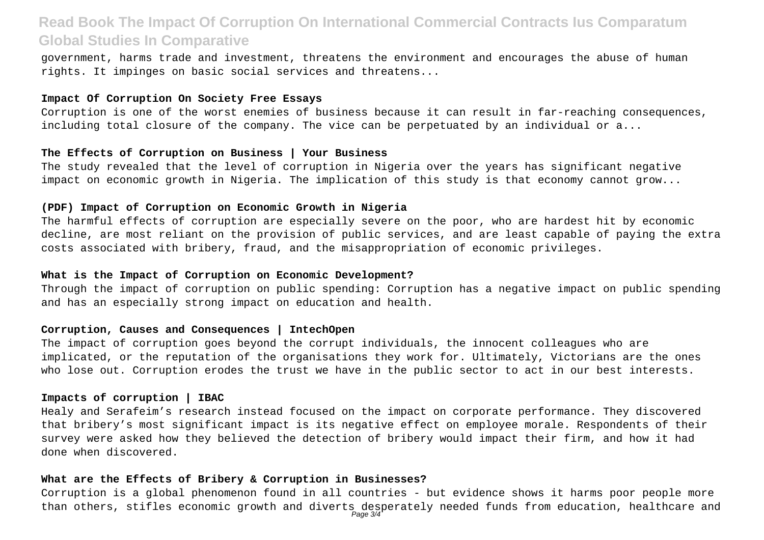government, harms trade and investment, threatens the environment and encourages the abuse of human rights. It impinges on basic social services and threatens...

## **Impact Of Corruption On Society Free Essays**

Corruption is one of the worst enemies of business because it can result in far-reaching consequences, including total closure of the company. The vice can be perpetuated by an individual or a...

#### **The Effects of Corruption on Business | Your Business**

The study revealed that the level of corruption in Nigeria over the years has significant negative impact on economic growth in Nigeria. The implication of this study is that economy cannot grow...

## **(PDF) Impact of Corruption on Economic Growth in Nigeria**

The harmful effects of corruption are especially severe on the poor, who are hardest hit by economic decline, are most reliant on the provision of public services, and are least capable of paying the extra costs associated with bribery, fraud, and the misappropriation of economic privileges.

#### **What is the Impact of Corruption on Economic Development?**

Through the impact of corruption on public spending: Corruption has a negative impact on public spending and has an especially strong impact on education and health.

#### **Corruption, Causes and Consequences | IntechOpen**

The impact of corruption goes beyond the corrupt individuals, the innocent colleagues who are implicated, or the reputation of the organisations they work for. Ultimately, Victorians are the ones who lose out. Corruption erodes the trust we have in the public sector to act in our best interests.

## **Impacts of corruption | IBAC**

Healy and Serafeim's research instead focused on the impact on corporate performance. They discovered that bribery's most significant impact is its negative effect on employee morale. Respondents of their survey were asked how they believed the detection of bribery would impact their firm, and how it had done when discovered.

#### **What are the Effects of Bribery & Corruption in Businesses?**

Corruption is a global phenomenon found in all countries - but evidence shows it harms poor people more than others, stifles economic growth and diverts desperately needed funds from education, healthcare and<br>Page 3/4